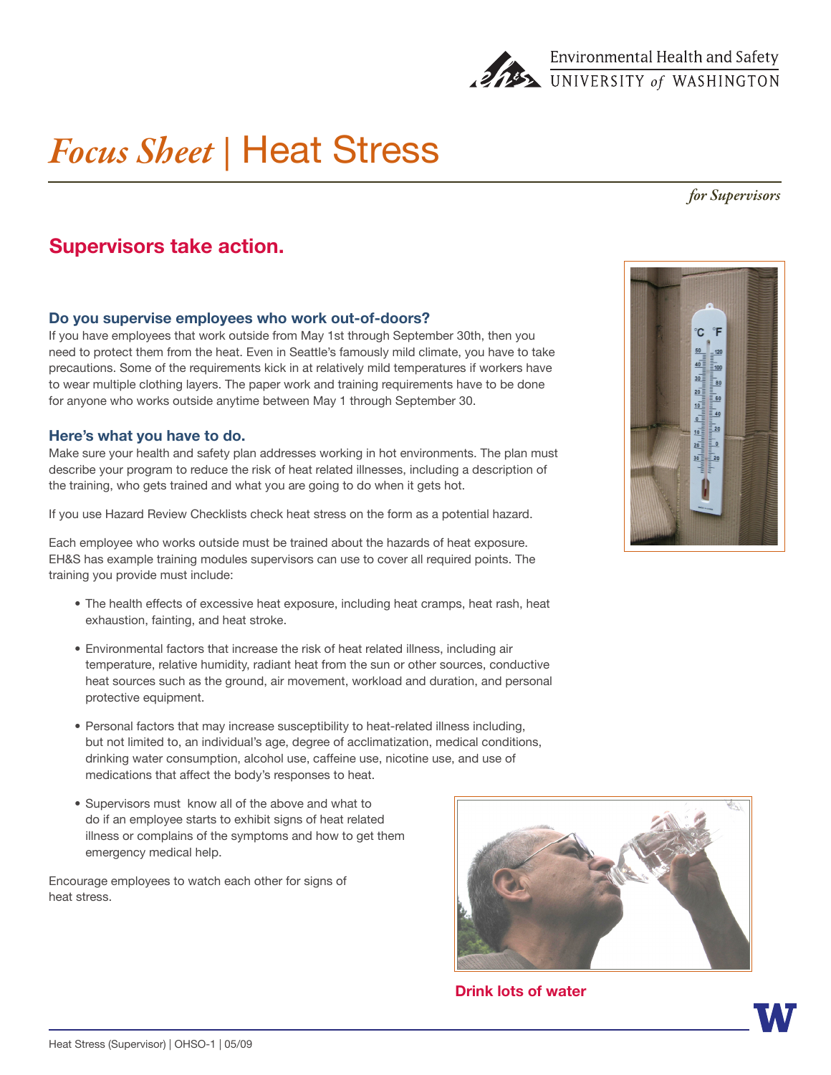

# *Focus Sheet |* Heat Stress

#### *for Supervisors*

## **Supervisors take action.**

#### **Do you supervise employees who work out-of-doors?**

If you have employees that work outside from May 1st through September 30th, then you need to protect them from the heat. Even in Seattle's famously mild climate, you have to take precautions. Some of the requirements kick in at relatively mild temperatures if workers have to wear multiple clothing layers. The paper work and training requirements have to be done for anyone who works outside anytime between May 1 through September 30.

#### **Here's what you have to do.**

Make sure your health and safety plan addresses working in hot environments. The plan must describe your program to reduce the risk of heat related illnesses, including a description of the training, who gets trained and what you are going to do when it gets hot.

If you use Hazard Review Checklists check heat stress on the form as a potential hazard.

Each employee who works outside must be trained about the hazards of heat exposure. EH&S has example training modules supervisors can use to cover all required points. The training you provide must include:

- The health effects of excessive heat exposure, including heat cramps, heat rash, heat exhaustion, fainting, and heat stroke.
- • Environmental factors that increase the risk of heat related illness, including air temperature, relative humidity, radiant heat from the sun or other sources, conductive heat sources such as the ground, air movement, workload and duration, and personal protective equipment.
- Personal factors that may increase susceptibility to heat-related illness including, but not limited to, an individual's age, degree of acclimatization, medical conditions, drinking water consumption, alcohol use, caffeine use, nicotine use, and use of medications that affect the body's responses to heat.
- Supervisors must know all of the above and what to do if an employee starts to exhibit signs of heat related illness or complains of the symptoms and how to get them emergency medical help.

Encourage employees to watch each other for signs of heat stress.



**Drink lots of water**